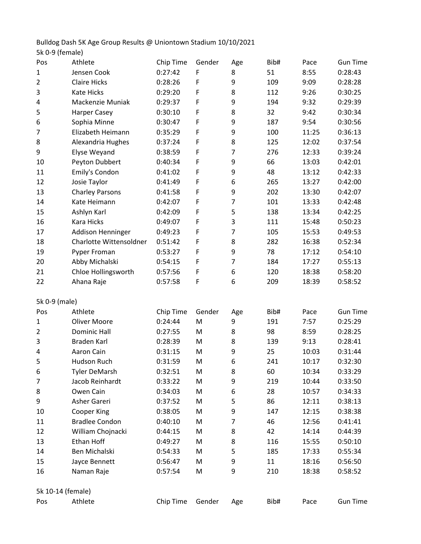Bulldog Dash 5K Age Group Results @ Uniontown Stadium 10/10/2021 5k 0-9 (female)

| Pos               | Athlete                 | Chip Time | Gender | Age            | Bib# | Pace  | <b>Gun Time</b> |
|-------------------|-------------------------|-----------|--------|----------------|------|-------|-----------------|
| 1                 | Jensen Cook             | 0:27:42   | F      | 8              | 51   | 8:55  | 0:28:43         |
| 2                 | <b>Claire Hicks</b>     | 0:28:26   | F      | 9              | 109  | 9:09  | 0:28:28         |
| 3                 | <b>Kate Hicks</b>       | 0:29:20   | F      | 8              | 112  | 9:26  | 0:30:25         |
| 4                 | Mackenzie Muniak        | 0:29:37   | F      | 9              | 194  | 9:32  | 0:29:39         |
| 5                 | Harper Casey            | 0:30:10   | F      | 8              | 32   | 9:42  | 0:30:34         |
| 6                 | Sophia Minne            | 0:30:47   | F      | 9              | 187  | 9:54  | 0:30:56         |
| 7                 | Elizabeth Heimann       | 0:35:29   | F      | 9              | 100  | 11:25 | 0:36:13         |
| 8                 | Alexandria Hughes       | 0:37:24   | F      | 8              | 125  | 12:02 | 0:37:54         |
| 9                 | Elyse Weyand            | 0:38:59   | F      | $\overline{7}$ | 276  | 12:33 | 0:39:24         |
| 10                | Peyton Dubbert          | 0:40:34   | F      | 9              | 66   | 13:03 | 0:42:01         |
| 11                | Emily's Condon          | 0:41:02   | F      | 9              | 48   | 13:12 | 0:42:33         |
| 12                | Josie Taylor            | 0:41:49   | F      | 6              | 265  | 13:27 | 0:42:00         |
| 13                | <b>Charley Parsons</b>  | 0:41:58   | F      | 9              | 202  | 13:30 | 0:42:07         |
| 14                | Kate Heimann            | 0:42:07   | F      | $\overline{7}$ | 101  | 13:33 | 0:42:48         |
| 15                | Ashlyn Karl             | 0:42:09   | F      | 5              | 138  | 13:34 | 0:42:25         |
| 16                | Kara Hicks              | 0:49:07   | F      | 3              | 111  | 15:48 | 0:50:23         |
| 17                | Addison Henninger       | 0:49:23   | F      | $\overline{7}$ | 105  | 15:53 | 0:49:53         |
| 18                | Charlotte Wittensoldner | 0:51:42   | F      | 8              | 282  | 16:38 | 0:52:34         |
| 19                | Pyper Froman            | 0:53:27   | F      | 9              | 78   | 17:12 | 0:54:10         |
| 20                | Abby Michalski          | 0:54:15   | F      | $\overline{7}$ | 184  | 17:27 | 0:55:13         |
| 21                | Chloe Hollingsworth     | 0:57:56   | F      | 6              | 120  | 18:38 | 0:58:20         |
| 22                | Ahana Raje              | 0:57:58   | F      | 6              | 209  | 18:39 | 0:58:52         |
| 5k 0-9 (male)     |                         |           |        |                |      |       |                 |
| Pos               | Athlete                 | Chip Time | Gender | Age            | Bib# | Pace  | <b>Gun Time</b> |
| 1                 | <b>Oliver Moore</b>     | 0:24:44   | M      | 9              | 191  | 7:57  | 0:25:29         |
| $\overline{2}$    | <b>Dominic Hall</b>     | 0:27:55   | M      | 8              | 98   | 8:59  | 0:28:25         |
| 3                 | <b>Braden Karl</b>      | 0:28:39   | M      | 8              | 139  | 9:13  | 0:28:41         |
| 4                 | Aaron Cain              | 0:31:15   | M      | 9              | 25   | 10:03 | 0:31:44         |
| 5                 | Hudson Ruch             | 0:31:59   | M      | 6              | 241  | 10:17 | 0:32:30         |
| 6                 | <b>Tyler DeMarsh</b>    | 0:32:51   | M      | 8              | 60   | 10:34 | 0:33:29         |
| 7                 | Jacob Reinhardt         | 0:33:22   | M      | 9              | 219  | 10:44 | 0:33:50         |
| 8                 | Owen Cain               | 0:34:03   | M      | 6              | 28   | 10:57 | 0:34:33         |
| 9                 | Asher Gareri            | 0:37:52   | M      | 5              | 86   | 12:11 | 0:38:13         |
| 10                | Cooper King             | 0:38:05   | M      | 9              | 147  | 12:15 | 0:38:38         |
| 11                | <b>Bradlee Condon</b>   | 0:40:10   | M      | 7              | 46   | 12:56 | 0:41:41         |
| 12                | William Chojnacki       | 0:44:15   | M      | 8              | 42   | 14:14 | 0:44:39         |
| 13                | Ethan Hoff              | 0:49:27   | M      | 8              | 116  | 15:55 | 0:50:10         |
| 14                | Ben Michalski           | 0:54:33   | M      | 5              | 185  | 17:33 | 0:55:34         |
| 15                | Jayce Bennett           | 0:56:47   | M      | 9              | 11   | 18:16 | 0:56:50         |
| 16                | Naman Raje              | 0:57:54   | M      | 9              | 210  | 18:38 | 0:58:52         |
|                   |                         |           |        |                |      |       |                 |
| 5k 10-14 (female) |                         |           |        |                |      |       |                 |
| Pos               | Athlete                 | Chip Time | Gender | Age            | Bib# | Pace  | <b>Gun Time</b> |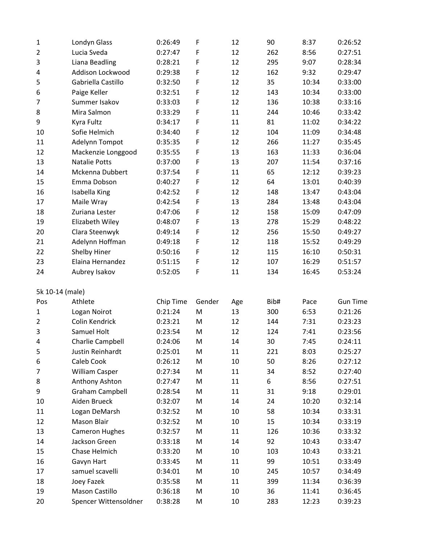| $\mathbf{1}$    | Londyn Glass           | 0:26:49   | F           | 12  | 90   | 8:37  | 0:26:52         |
|-----------------|------------------------|-----------|-------------|-----|------|-------|-----------------|
| $\overline{2}$  | Lucia Sveda            | 0:27:47   | F           | 12  | 262  | 8:56  | 0:27:51         |
| 3               | Liana Beadling         | 0:28:21   | F           | 12  | 295  | 9:07  | 0:28:34         |
| 4               | Addison Lockwood       | 0:29:38   | F           | 12  | 162  | 9:32  | 0:29:47         |
| 5               | Gabriella Castillo     | 0:32:50   | F           | 12  | 35   | 10:34 | 0:33:00         |
| 6               | Paige Keller           | 0:32:51   | F           | 12  | 143  | 10:34 | 0:33:00         |
| 7               | Summer Isakov          | 0:33:03   | F           | 12  | 136  | 10:38 | 0:33:16         |
| 8               | Mira Salmon            | 0:33:29   | F           | 11  | 244  | 10:46 | 0:33:42         |
| 9               | Kyra Fultz             | 0:34:17   | F           | 11  | 81   | 11:02 | 0:34:22         |
| 10              | Sofie Helmich          | 0:34:40   | F           | 12  | 104  | 11:09 | 0:34:48         |
| 11              | Adelynn Tompot         | 0:35:35   | F           | 12  | 266  | 11:27 | 0:35:45         |
| 12              | Mackenzie Longgood     | 0:35:55   | F           | 13  | 163  | 11:33 | 0:36:04         |
| 13              | <b>Natalie Potts</b>   | 0:37:00   | F           | 13  | 207  | 11:54 | 0:37:16         |
| 14              | Mckenna Dubbert        | 0:37:54   | $\mathsf F$ | 11  | 65   | 12:12 | 0:39:23         |
| 15              | Emma Dobson            | 0:40:27   | F           | 12  | 64   | 13:01 | 0:40:39         |
| 16              | Isabella King          | 0:42:52   | F           | 12  | 148  | 13:47 | 0:43:04         |
| 17              | Maile Wray             | 0:42:54   | F           | 13  | 284  | 13:48 | 0:43:04         |
| 18              | Zuriana Lester         | 0:47:06   | F           | 12  | 158  | 15:09 | 0:47:09         |
| 19              | Elizabeth Wiley        | 0:48:07   | F           | 13  | 278  | 15:29 | 0:48:22         |
| 20              | Clara Steenwyk         | 0:49:14   | $\mathsf F$ | 12  | 256  | 15:50 | 0:49:27         |
| 21              | Adelynn Hoffman        | 0:49:18   | F           | 12  | 118  | 15:52 | 0:49:29         |
| 22              | Shelby Hiner           | 0:50:16   | F           | 12  | 115  | 16:10 | 0:50:31         |
| 23              | Elaina Hernandez       | 0:51:15   | F           | 12  | 107  | 16:29 | 0:51:57         |
| 24              | Aubrey Isakov          | 0:52:05   | F           | 11  | 134  | 16:45 | 0:53:24         |
| 5k 10-14 (male) |                        |           |             |     |      |       |                 |
| Pos             | Athlete                | Chip Time | Gender      | Age | Bib# | Pace  | <b>Gun Time</b> |
| 1               | Logan Noirot           | 0:21:24   | M           | 13  | 300  | 6:53  | 0:21:26         |
| $\overline{2}$  | Colin Kendrick         | 0:23:21   | M           | 12  | 144  | 7:31  | 0:23:23         |
| 3               | Samuel Holt            | 0:23:54   | M           | 12  | 124  | 7:41  | 0:23:56         |
| 4               | Charlie Campbell       | 0:24:06   | M           | 14  | 30   | 7:45  | 0:24:11         |
| 5               | Justin Reinhardt       | 0:25:01   | M           | 11  | 221  | 8:03  | 0:25:27         |
| 6               | Caleb Cook             | 0:26:12   | M           | 10  | 50   | 8:26  | 0:27:12         |
| 7               | <b>William Casper</b>  | 0:27:34   | M           | 11  | 34   | 8:52  | 0:27:40         |
| 8               | Anthony Ashton         | 0:27:47   | M           | 11  | 6    | 8:56  | 0:27:51         |
| 9               | <b>Graham Campbell</b> | 0:28:54   | M           | 11  | 31   | 9:18  | 0:29:01         |
| 10              | Aiden Brueck           | 0:32:07   | M           | 14  | 24   | 10:20 | 0:32:14         |
| 11              | Logan DeMarsh          | 0:32:52   | M           | 10  | 58   | 10:34 | 0:33:31         |
| 12              | Mason Blair            | 0:32:52   | M           | 10  | 15   | 10:34 | 0:33:19         |
| 13              | <b>Cameron Hughes</b>  | 0:32:57   | M           | 11  | 126  | 10:36 | 0:33:32         |
| 14              | Jackson Green          | 0:33:18   | M           | 14  | 92   | 10:43 | 0:33:47         |
| 15              | Chase Helmich          | 0:33:20   | M           | 10  | 103  | 10:43 | 0:33:21         |
| 16              | Gavyn Hart             | 0:33:45   | M           | 11  | 99   | 10:51 | 0:33:49         |
| 17              | samuel scavelli        | 0:34:01   | M           | 10  | 245  | 10:57 | 0:34:49         |
| 18              | Joey Fazek             | 0:35:58   | M           | 11  | 399  | 11:34 | 0:36:39         |
| 19              |                        |           | M           |     |      |       |                 |
|                 | Mason Castillo         | 0:36:18   |             | 10  | 36   | 11:41 | 0:36:45         |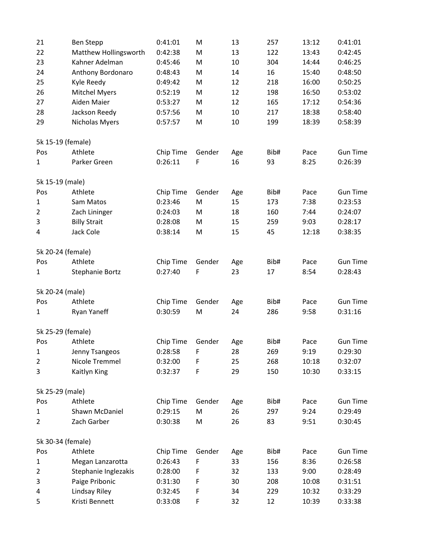| 21             | <b>Ben Stepp</b>      | 0:41:01   | M      | 13  | 257  | 13:12 | 0:41:01         |
|----------------|-----------------------|-----------|--------|-----|------|-------|-----------------|
| 22             | Matthew Hollingsworth | 0:42:38   | M      | 13  | 122  | 13:43 | 0:42:45         |
| 23             | Kahner Adelman        | 0:45:46   | M      | 10  | 304  | 14:44 | 0:46:25         |
| 24             | Anthony Bordonaro     | 0:48:43   | M      | 14  | 16   | 15:40 | 0:48:50         |
| 25             | Kyle Reedy            | 0:49:42   | M      | 12  | 218  | 16:00 | 0:50:25         |
| 26             | <b>Mitchel Myers</b>  | 0:52:19   | M      | 12  | 198  | 16:50 | 0:53:02         |
| 27             | Aiden Maier           | 0:53:27   | M      | 12  | 165  | 17:12 | 0:54:36         |
| 28             | Jackson Reedy         | 0:57:56   | M      | 10  | 217  | 18:38 | 0:58:40         |
| 29             | Nicholas Myers        | 0:57:57   | M      | 10  | 199  | 18:39 | 0:58:39         |
|                | 5k 15-19 (female)     |           |        |     |      |       |                 |
| Pos            | Athlete               | Chip Time | Gender | Age | Bib# | Pace  | <b>Gun Time</b> |
| 1              | Parker Green          | 0:26:11   | F      | 16  | 93   | 8:25  | 0:26:39         |
|                | 5k 15-19 (male)       |           |        |     |      |       |                 |
| Pos            | Athlete               | Chip Time | Gender | Age | Bib# | Pace  | <b>Gun Time</b> |
| $\mathbf 1$    | Sam Matos             | 0:23:46   | M      | 15  | 173  | 7:38  | 0:23:53         |
| $\overline{2}$ | Zach Lininger         | 0:24:03   | M      | 18  | 160  | 7:44  | 0:24:07         |
| 3              | <b>Billy Strait</b>   | 0:28:08   | M      | 15  | 259  | 9:03  | 0:28:17         |
| 4              | Jack Cole             | 0:38:14   | M      | 15  | 45   | 12:18 | 0:38:35         |
|                | 5k 20-24 (female)     |           |        |     |      |       |                 |
| Pos            | Athlete               | Chip Time | Gender | Age | Bib# | Pace  | <b>Gun Time</b> |
| 1              | Stephanie Bortz       | 0:27:40   | F      | 23  | 17   | 8:54  | 0:28:43         |
|                | 5k 20-24 (male)       |           |        |     |      |       |                 |
| Pos            | Athlete               | Chip Time | Gender | Age | Bib# | Pace  | <b>Gun Time</b> |
| 1              | Ryan Yaneff           | 0:30:59   | M      | 24  | 286  | 9:58  | 0:31:16         |
|                | 5k 25-29 (female)     |           |        |     |      |       |                 |
| Pos            | Athlete               | Chip Time | Gender | Age | Bib# | Pace  | <b>Gun Time</b> |
| 1              | Jenny Tsangeos        | 0:28:58   | F      | 28  | 269  | 9:19  | 0:29:30         |
| 2              | Nicole Tremmel        | 0:32:00   | F      | 25  | 268  | 10:18 | 0:32:07         |
| 3              | Kaitlyn King          | 0:32:37   | F      | 29  | 150  | 10:30 | 0:33:15         |
|                | 5k 25-29 (male)       |           |        |     |      |       |                 |
| Pos            | Athlete               | Chip Time | Gender | Age | Bib# | Pace  | <b>Gun Time</b> |
| 1              | Shawn McDaniel        | 0:29:15   | M      | 26  | 297  | 9:24  | 0:29:49         |
| 2              | Zach Garber           | 0:30:38   | M      | 26  | 83   | 9:51  | 0:30:45         |
|                | 5k 30-34 (female)     |           |        |     |      |       |                 |
| Pos            | Athlete               | Chip Time | Gender | Age | Bib# | Pace  | <b>Gun Time</b> |
| 1              | Megan Lanzarotta      | 0:26:43   | F      | 33  | 156  | 8:36  | 0:26:58         |
| $\overline{2}$ | Stephanie Inglezakis  | 0:28:00   | F      | 32  | 133  | 9:00  | 0:28:49         |
| 3              | Paige Pribonic        | 0:31:30   | F      | 30  | 208  | 10:08 | 0:31:51         |
| 4              | Lindsay Riley         | 0:32:45   | F      | 34  | 229  | 10:32 | 0:33:29         |
| 5              | Kristi Bennett        | 0:33:08   | F      | 32  | 12   | 10:39 | 0:33:38         |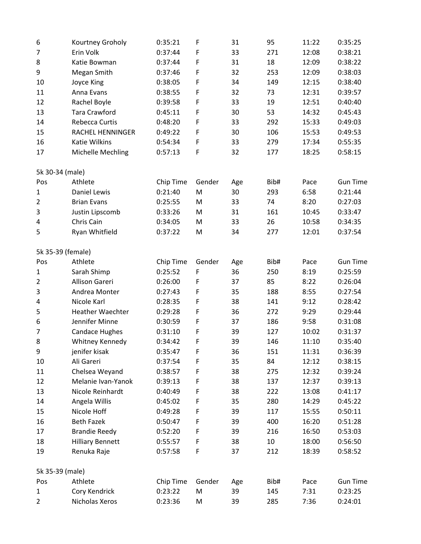| 6               | Kourtney Groholy        | 0:35:21   | F           | 31  | 95   | 11:22 | 0:35:25         |
|-----------------|-------------------------|-----------|-------------|-----|------|-------|-----------------|
| 7               | Erin Volk               | 0:37:44   | F           | 33  | 271  | 12:08 | 0:38:21         |
| 8               | Katie Bowman            | 0:37:44   | F           | 31  | 18   | 12:09 | 0:38:22         |
| 9               | Megan Smith             | 0:37:46   | F           | 32  | 253  | 12:09 | 0:38:03         |
| 10              | Joyce King              | 0:38:05   | $\mathsf F$ | 34  | 149  | 12:15 | 0:38:40         |
| 11              | Anna Evans              | 0:38:55   | F           | 32  | 73   | 12:31 | 0:39:57         |
| 12              | Rachel Boyle            | 0:39:58   | F           | 33  | 19   | 12:51 | 0:40:40         |
| 13              | <b>Tara Crawford</b>    | 0:45:11   | $\mathsf F$ | 30  | 53   | 14:32 | 0:45:43         |
| 14              | Rebecca Curtis          | 0:48:20   | F           | 33  | 292  | 15:33 | 0:49:03         |
| 15              | <b>RACHEL HENNINGER</b> | 0:49:22   | $\mathsf F$ | 30  | 106  | 15:53 | 0:49:53         |
| 16              | Katie Wilkins           | 0:54:34   | F           | 33  | 279  | 17:34 | 0:55:35         |
| 17              | Michelle Mechling       | 0:57:13   | $\mathsf F$ | 32  | 177  | 18:25 | 0:58:15         |
| 5k 30-34 (male) |                         |           |             |     |      |       |                 |
| Pos             | Athlete                 | Chip Time | Gender      | Age | Bib# | Pace  | <b>Gun Time</b> |
| 1               | Daniel Lewis            | 0:21:40   | M           | 30  | 293  | 6:58  | 0:21:44         |
| $\overline{2}$  | <b>Brian Evans</b>      | 0:25:55   | M           | 33  | 74   | 8:20  | 0:27:03         |
| 3               | Justin Lipscomb         | 0:33:26   | M           | 31  | 161  | 10:45 | 0:33:47         |
| 4               | Chris Cain              | 0:34:05   | M           | 33  | 26   | 10:58 | 0:34:35         |
| 5               | Ryan Whitfield          | 0:37:22   | M           | 34  | 277  | 12:01 | 0:37:54         |
|                 | 5k 35-39 (female)       |           |             |     |      |       |                 |
| Pos             | Athlete                 | Chip Time | Gender      | Age | Bib# | Pace  | <b>Gun Time</b> |
| 1               | Sarah Shimp             | 0:25:52   | $\mathsf F$ | 36  | 250  | 8:19  | 0:25:59         |
| $\overline{2}$  | <b>Allison Gareri</b>   | 0:26:00   | $\mathsf F$ | 37  | 85   | 8:22  | 0:26:04         |
| 3               | Andrea Monter           | 0:27:43   | F           | 35  | 188  | 8:55  | 0:27:54         |
| 4               | Nicole Karl             | 0:28:35   | F           | 38  | 141  | 9:12  | 0:28:42         |
| 5               | <b>Heather Waechter</b> | 0:29:28   | F           | 36  | 272  | 9:29  | 0:29:44         |
| 6               | Jennifer Minne          | 0:30:59   | $\mathsf F$ | 37  | 186  | 9:58  | 0:31:08         |
| 7               | <b>Candace Hughes</b>   | 0:31:10   | F           | 39  | 127  | 10:02 | 0:31:37         |
| 8               | Whitney Kennedy         | 0:34:42   | F           | 39  | 146  | 11:10 | 0:35:40         |
| 9               | jenifer kisak           | 0:35:47   | F           | 36  | 151  | 11:31 | 0:36:39         |
| 10              | Ali Gareri              | 0:37:54   | F           | 35  | 84   | 12:12 | 0:38:15         |
| 11              | Chelsea Weyand          | 0:38:57   | F           | 38  | 275  | 12:32 | 0:39:24         |
| 12              | Melanie Ivan-Yanok      | 0:39:13   | F           | 38  | 137  | 12:37 | 0:39:13         |
| 13              | Nicole Reinhardt        | 0:40:49   | F           | 38  | 222  | 13:08 | 0:41:17         |
| 14              | Angela Willis           | 0:45:02   | F           | 35  | 280  | 14:29 | 0:45:22         |
| 15              | Nicole Hoff             | 0:49:28   | F           | 39  | 117  | 15:55 | 0:50:11         |
| 16              | <b>Beth Fazek</b>       | 0:50:47   | F           | 39  | 400  | 16:20 | 0:51:28         |
| 17              | <b>Brandie Reedy</b>    | 0:52:20   | F           | 39  | 216  | 16:50 | 0:53:03         |
| 18              | <b>Hilliary Bennett</b> | 0:55:57   | F           | 38  | 10   | 18:00 | 0:56:50         |
| 19              | Renuka Raje             | 0:57:58   | F           | 37  | 212  | 18:39 | 0:58:52         |
| 5k 35-39 (male) |                         |           |             |     |      |       |                 |
| Pos             | Athlete                 | Chip Time | Gender      | Age | Bib# | Pace  | <b>Gun Time</b> |
| $\mathbf 1$     | Cory Kendrick           | 0:23:22   | M           | 39  | 145  | 7:31  | 0:23:25         |
| $\overline{2}$  | Nicholas Xeros          | 0:23:36   | M           | 39  | 285  | 7:36  | 0:24:01         |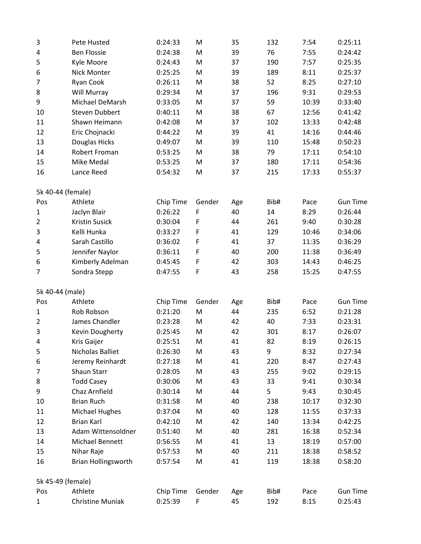| 3                 | Pete Husted                | 0:24:33   | M           | 35  | 132  | 7:54  | 0:25:11         |
|-------------------|----------------------------|-----------|-------------|-----|------|-------|-----------------|
| 4                 | <b>Ben Flossie</b>         | 0:24:38   | M           | 39  | 76   | 7:55  | 0:24:42         |
| 5                 | Kyle Moore                 | 0:24:43   | M           | 37  | 190  | 7:57  | 0:25:35         |
| 6                 | Nick Monter                | 0:25:25   | M           | 39  | 189  | 8:11  | 0:25:37         |
| $\overline{7}$    | Ryan Cook                  | 0:26:11   | M           | 38  | 52   | 8:25  | 0:27:10         |
| 8                 | Will Murray                | 0:29:34   | M           | 37  | 196  | 9:31  | 0:29:53         |
| 9                 | Michael DeMarsh            | 0:33:05   | M           | 37  | 59   | 10:39 | 0:33:40         |
| 10                | <b>Steven Dubbert</b>      | 0:40:11   | M           | 38  | 67   | 12:56 | 0:41:42         |
| 11                | Shawn Heimann              | 0:42:08   | M           | 37  | 102  | 13:33 | 0:42:48         |
| 12                | Eric Chojnacki             | 0:44:22   | M           | 39  | 41   | 14:16 | 0:44:46         |
| 13                | Douglas Hicks              | 0:49:07   | M           | 39  | 110  | 15:48 | 0:50:23         |
| 14                | Robert Froman              | 0:53:25   | M           | 38  | 79   | 17:11 | 0:54:10         |
| 15                | Mike Medal                 | 0:53:25   | M           | 37  | 180  | 17:11 | 0:54:36         |
| 16                | Lance Reed                 | 0:54:32   | M           | 37  | 215  | 17:33 | 0:55:37         |
| 5k 40-44 (female) |                            |           |             |     |      |       |                 |
| Pos               | Athlete                    | Chip Time | Gender      | Age | Bib# | Pace  | <b>Gun Time</b> |
| 1                 | Jaclyn Blair               | 0:26:22   | $\mathsf F$ | 40  | 14   | 8:29  | 0:26:44         |
| $\overline{2}$    | <b>Kristin Susick</b>      | 0:30:04   | F           | 44  | 261  | 9:40  | 0:30:28         |
| 3                 | Kelli Hunka                | 0:33:27   | F           | 41  | 129  | 10:46 | 0:34:06         |
| 4                 | Sarah Castillo             | 0:36:02   | F           | 41  | 37   | 11:35 | 0:36:29         |
| 5                 | Jennifer Naylor            | 0:36:11   | F           | 40  | 200  | 11:38 | 0:36:49         |
| 6                 | Kimberly Adelman           | 0:45:45   | $\mathsf F$ | 42  | 303  | 14:43 | 0:46:25         |
| 7                 | Sondra Stepp               | 0:47:55   | F           | 43  | 258  | 15:25 | 0:47:55         |
| 5k 40-44 (male)   |                            |           |             |     |      |       |                 |
| Pos               | Athlete                    | Chip Time | Gender      | Age | Bib# | Pace  | <b>Gun Time</b> |
| $\mathbf{1}$      | Rob Robson                 | 0:21:20   | M           | 44  | 235  | 6:52  | 0:21:28         |
| $\overline{2}$    | James Chandler             | 0:23:28   | M           | 42  | 40   | 7:33  | 0:23:31         |
| 3                 | Kevin Dougherty            | 0:25:45   | M           | 42  | 301  | 8:17  | 0:26:07         |
| 4                 | Kris Gaijer                | 0:25:51   | M           | 41  | 82   | 8:19  | 0:26:15         |
| 5                 | Nicholas Balliet           | 0:26:30   | M           | 43  | 9    | 8:32  | 0:27:34         |
| 6                 | Jeremy Reinhardt           | 0:27:18   | M           | 41  | 220  | 8:47  | 0:27:43         |
| 7                 | Shaun Starr                | 0:28:05   | M           | 43  | 255  | 9:02  | 0:29:15         |
| 8                 | <b>Todd Casey</b>          | 0:30:06   | M           | 43  | 33   | 9:41  | 0:30:34         |
| 9                 | Chaz Arnfield              | 0:30:14   | M           | 44  | 5    | 9:43  | 0:30:45         |
| 10                | <b>Brian Ruch</b>          | 0:31:58   | M           | 40  | 238  | 10:17 | 0:32:30         |
| 11                | <b>Michael Hughes</b>      | 0:37:04   | M           | 40  | 128  | 11:55 | 0:37:33         |
| 12                | <b>Brian Karl</b>          | 0:42:10   | M           | 42  | 140  | 13:34 | 0:42:25         |
| 13                | Adam Wittensoldner         | 0:51:40   | M           | 40  | 281  | 16:38 | 0:52:34         |
| 14                | Michael Bennett            | 0:56:55   | M           | 41  | 13   | 18:19 | 0:57:00         |
| 15                | Nihar Raje                 | 0:57:53   | M           | 40  | 211  | 18:38 | 0:58:52         |
| 16                | <b>Brian Hollingsworth</b> | 0:57:54   | M           | 41  | 119  | 18:38 | 0:58:20         |
| 5k 45-49 (female) |                            |           |             |     |      |       |                 |
| Pos               | Athlete                    | Chip Time | Gender      | Age | Bib# | Pace  | <b>Gun Time</b> |
| $\mathbf 1$       | Christine Muniak           | 0:25:39   | F           | 45  | 192  | 8:15  | 0:25:43         |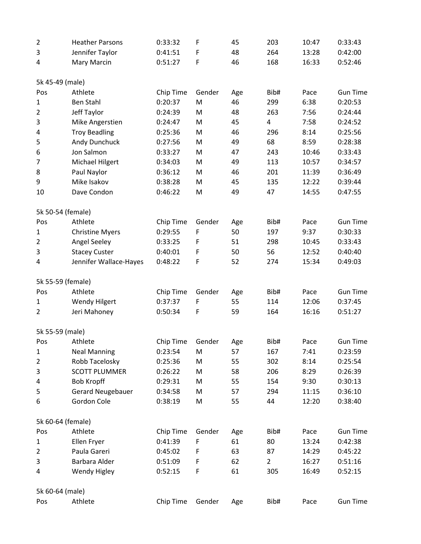| $\overline{2}$    | <b>Heather Parsons</b>   | 0:33:32   | F           | 45  | 203                     | 10:47 | 0:33:43         |
|-------------------|--------------------------|-----------|-------------|-----|-------------------------|-------|-----------------|
| 3                 | Jennifer Taylor          | 0:41:51   | F           | 48  | 264                     | 13:28 | 0:42:00         |
| 4                 | Mary Marcin              | 0:51:27   | $\mathsf F$ | 46  | 168                     | 16:33 | 0:52:46         |
| 5k 45-49 (male)   |                          |           |             |     |                         |       |                 |
| Pos               | Athlete                  | Chip Time | Gender      | Age | Bib#                    | Pace  | <b>Gun Time</b> |
| $\mathbf{1}$      | <b>Ben Stahl</b>         | 0:20:37   | M           | 46  | 299                     | 6:38  | 0:20:53         |
| $\overline{2}$    | Jeff Taylor              | 0:24:39   | M           | 48  | 263                     | 7:56  | 0:24:44         |
| 3                 | Mike Angerstien          | 0:24:47   | M           | 45  | $\overline{\mathbf{4}}$ | 7:58  | 0:24:52         |
| 4                 | <b>Troy Beadling</b>     | 0:25:36   | M           | 46  | 296                     | 8:14  | 0:25:56         |
| 5                 | Andy Dunchuck            | 0:27:56   | M           | 49  | 68                      | 8:59  | 0:28:38         |
| 6                 | Jon Salmon               | 0:33:27   | M           | 47  | 243                     | 10:46 | 0:33:43         |
| $\overline{7}$    | Michael Hilgert          | 0:34:03   | M           | 49  | 113                     | 10:57 | 0:34:57         |
| 8                 | Paul Naylor              | 0:36:12   | M           | 46  | 201                     | 11:39 | 0:36:49         |
| 9                 | Mike Isakov              | 0:38:28   | M           | 45  | 135                     | 12:22 | 0:39:44         |
| 10                | Dave Condon              | 0:46:22   | M           | 49  | 47                      | 14:55 | 0:47:55         |
| 5k 50-54 (female) |                          |           |             |     |                         |       |                 |
| Pos               | Athlete                  | Chip Time | Gender      | Age | Bib#                    | Pace  | <b>Gun Time</b> |
| $\mathbf{1}$      | <b>Christine Myers</b>   | 0:29:55   | F           | 50  | 197                     | 9:37  | 0:30:33         |
| $\overline{2}$    | <b>Angel Seeley</b>      | 0:33:25   | F           | 51  | 298                     | 10:45 | 0:33:43         |
| 3                 | <b>Stacey Custer</b>     | 0:40:01   | F           | 50  | 56                      | 12:52 | 0:40:40         |
| 4                 | Jennifer Wallace-Hayes   | 0:48:22   | F           | 52  | 274                     | 15:34 | 0:49:03         |
| 5k 55-59 (female) |                          |           |             |     |                         |       |                 |
| Pos               | Athlete                  | Chip Time | Gender      | Age | Bib#                    | Pace  | <b>Gun Time</b> |
| 1                 | <b>Wendy Hilgert</b>     | 0:37:37   | F           | 55  | 114                     | 12:06 | 0:37:45         |
| 2                 | Jeri Mahoney             | 0:50:34   | F           | 59  | 164                     | 16:16 | 0:51:27         |
| 5k 55-59 (male)   |                          |           |             |     |                         |       |                 |
| Pos               | Athlete                  | Chip Time | Gender      | Age | Bib#                    | Pace  | <b>Gun Time</b> |
| 1                 | <b>Neal Manning</b>      | 0:23:54   | M           | 57  | 167                     | 7:41  | 0:23:59         |
| $\overline{2}$    | Robb Tacelosky           | 0:25:36   | M           | 55  | 302                     | 8:14  | 0:25:54         |
| 3                 | <b>SCOTT PLUMMER</b>     | 0:26:22   | M           | 58  | 206                     | 8:29  | 0:26:39         |
| 4                 | <b>Bob Kropff</b>        | 0:29:31   | M           | 55  | 154                     | 9:30  | 0:30:13         |
| 5                 | <b>Gerard Neugebauer</b> | 0:34:58   | M           | 57  | 294                     | 11:15 | 0:36:10         |
| 6                 | Gordon Cole              | 0:38:19   | M           | 55  | 44                      | 12:20 | 0:38:40         |
| 5k 60-64 (female) |                          |           |             |     |                         |       |                 |
| Pos               | Athlete                  | Chip Time | Gender      | Age | Bib#                    | Pace  | <b>Gun Time</b> |
| $\mathbf{1}$      | Ellen Fryer              | 0:41:39   | F           | 61  | 80                      | 13:24 | 0:42:38         |
| $\overline{2}$    | Paula Gareri             | 0:45:02   | F           | 63  | 87                      | 14:29 | 0:45:22         |
| 3                 | Barbara Alder            | 0:51:09   | F           | 62  | $\overline{2}$          | 16:27 | 0:51:16         |
| 4                 | <b>Wendy Higley</b>      | 0:52:15   | $\mathsf F$ | 61  | 305                     | 16:49 | 0:52:15         |
| 5k 60-64 (male)   |                          |           |             |     |                         |       |                 |
|                   |                          |           |             |     |                         |       |                 |